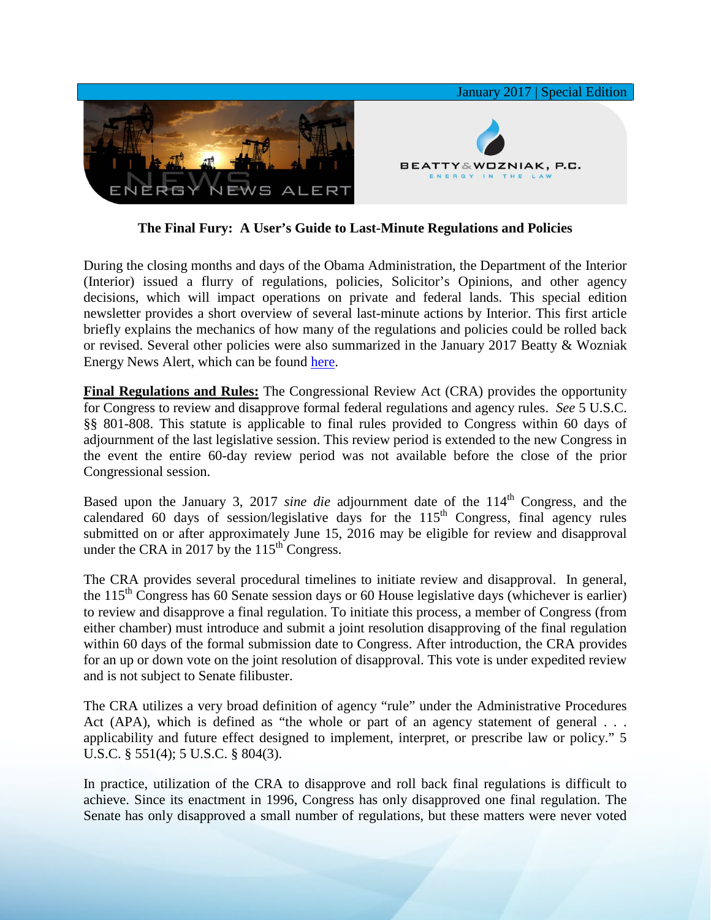

**The Final Fury: A User's Guide to Last-Minute Regulations and Policies**

During the closing months and days of the Obama Administration, the Department of the Interior (Interior) issued a flurry of regulations, policies, Solicitor's Opinions, and other agency decisions, which will impact operations on private and federal lands. This special edition newsletter provides a short overview of several last-minute actions by Interior. This first article briefly explains the mechanics of how many of the regulations and policies could be rolled back or revised. Several other policies were also summarized in the January 2017 Beatty & Wozniak Energy News Alert, which can be found [here.](http://media.wix.com/ugd/2f2374_af3a95c172624a29af5401b088b6a51a.pdf)

**Final Regulations and Rules:** The Congressional Review Act (CRA) provides the opportunity for Congress to review and disapprove formal federal regulations and agency rules. *See* 5 U.S.C. §§ 801-808. This statute is applicable to final rules provided to Congress within 60 days of adjournment of the last legislative session. This review period is extended to the new Congress in the event the entire 60-day review period was not available before the close of the prior Congressional session.

Based upon the January 3, 2017 *sine die* adjournment date of the 114<sup>th</sup> Congress, and the calendared 60 days of session/legislative days for the  $115<sup>th</sup>$  Congress, final agency rules submitted on or after approximately June 15, 2016 may be eligible for review and disapproval under the CRA in 2017 by the  $115<sup>th</sup>$  Congress.

The CRA provides several procedural timelines to initiate review and disapproval. In general, the  $115<sup>th</sup>$  Congress has 60 Senate session days or 60 House legislative days (whichever is earlier) to review and disapprove a final regulation. To initiate this process, a member of Congress (from either chamber) must introduce and submit a joint resolution disapproving of the final regulation within 60 days of the formal submission date to Congress. After introduction, the CRA provides for an up or down vote on the joint resolution of disapproval. This vote is under expedited review and is not subject to Senate filibuster.

The CRA utilizes a very broad definition of agency "rule" under the Administrative Procedures Act (APA), which is defined as "the whole or part of an agency statement of general . . . applicability and future effect designed to implement, interpret, or prescribe law or policy." 5 U.S.C. § 551(4); 5 U.S.C. § 804(3).

In practice, utilization of the CRA to disapprove and roll back final regulations is difficult to achieve. Since its enactment in 1996, Congress has only disapproved one final regulation. The Senate has only disapproved a small number of regulations, but these matters were never voted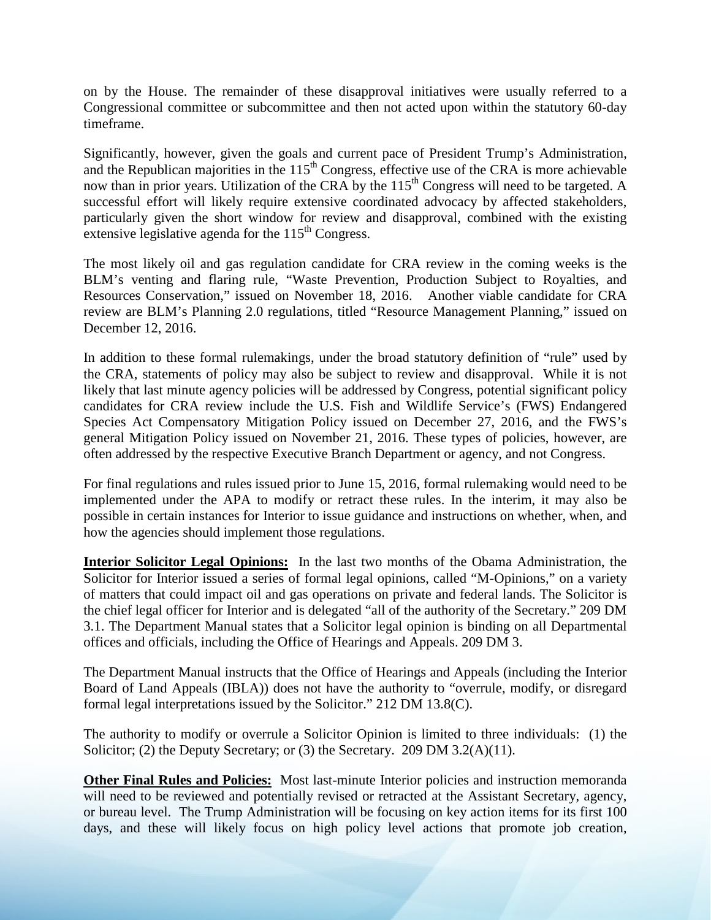on by the House. The remainder of these disapproval initiatives were usually referred to a Congressional committee or subcommittee and then not acted upon within the statutory 60-day timeframe.

Significantly, however, given the goals and current pace of President Trump's Administration, and the Republican majorities in the  $115<sup>th</sup>$  Congress, effective use of the CRA is more achievable now than in prior years. Utilization of the CRA by the 115<sup>th</sup> Congress will need to be targeted. A successful effort will likely require extensive coordinated advocacy by affected stakeholders, particularly given the short window for review and disapproval, combined with the existing extensive legislative agenda for the  $115<sup>th</sup>$  Congress.

The most likely oil and gas regulation candidate for CRA review in the coming weeks is the BLM's venting and flaring rule, "Waste Prevention, Production Subject to Royalties, and Resources Conservation," issued on November 18, 2016. Another viable candidate for CRA review are BLM's Planning 2.0 regulations, titled "Resource Management Planning," issued on December 12, 2016.

In addition to these formal rulemakings, under the broad statutory definition of "rule" used by the CRA, statements of policy may also be subject to review and disapproval. While it is not likely that last minute agency policies will be addressed by Congress, potential significant policy candidates for CRA review include the U.S. Fish and Wildlife Service's (FWS) Endangered Species Act Compensatory Mitigation Policy issued on December 27, 2016, and the FWS's general Mitigation Policy issued on November 21, 2016. These types of policies, however, are often addressed by the respective Executive Branch Department or agency, and not Congress.

For final regulations and rules issued prior to June 15, 2016, formal rulemaking would need to be implemented under the APA to modify or retract these rules. In the interim, it may also be possible in certain instances for Interior to issue guidance and instructions on whether, when, and how the agencies should implement those regulations.

**Interior Solicitor Legal Opinions:** In the last two months of the Obama Administration, the Solicitor for Interior issued a series of formal legal opinions, called "M-Opinions," on a variety of matters that could impact oil and gas operations on private and federal lands. The Solicitor is the chief legal officer for Interior and is delegated "all of the authority of the Secretary." 209 DM 3.1. The Department Manual states that a Solicitor legal opinion is binding on all Departmental offices and officials, including the Office of Hearings and Appeals. 209 DM 3.

The Department Manual instructs that the Office of Hearings and Appeals (including the Interior Board of Land Appeals (IBLA)) does not have the authority to "overrule, modify, or disregard formal legal interpretations issued by the Solicitor." 212 DM 13.8(C).

The authority to modify or overrule a Solicitor Opinion is limited to three individuals: (1) the Solicitor; (2) the Deputy Secretary; or (3) the Secretary. 209 DM 3.2(A)(11).

**Other Final Rules and Policies:** Most last-minute Interior policies and instruction memoranda will need to be reviewed and potentially revised or retracted at the Assistant Secretary, agency, or bureau level. The Trump Administration will be focusing on key action items for its first 100 days, and these will likely focus on high policy level actions that promote job creation,